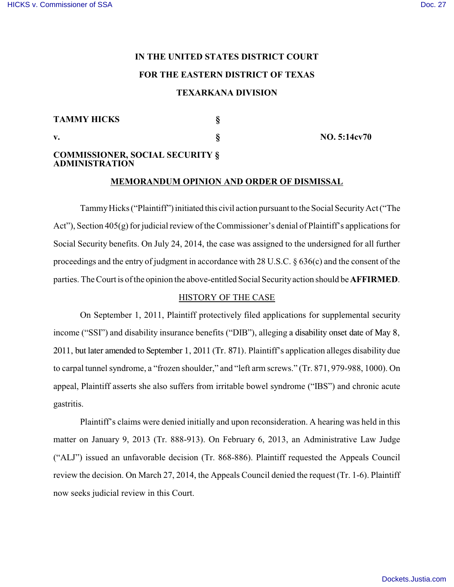# **IN THE UNITED STATES DISTRICT COURT FOR THE EASTERN DISTRICT OF TEXAS TEXARKANA DIVISION**

## **TAMMY HICKS §**

**v. § NO. 5:14cv70** 

# **COMMISSIONER, SOCIAL SECURITY § ADMINISTRATION**

# **MEMORANDUM OPINION AND ORDER OF DISMISSAL**

TammyHicks ("Plaintiff") initiated this civil action pursuant to the Social SecurityAct ("The Act"), Section 405(g) for judicial review of the Commissioner's denial of Plaintiff's applications for Social Security benefits. On July 24, 2014, the case was assigned to the undersigned for all further proceedings and the entry of judgment in accordance with 28 U.S.C. § 636(c) and the consent of the parties. The Court is of the opinion the above-entitled Social Security action should be **AFFIRMED**.

## HISTORY OF THE CASE

On September 1, 2011, Plaintiff protectively filed applications for supplemental security income ("SSI") and disability insurance benefits ("DIB"), alleging a disability onset date of May 8, 2011, but later amended to September 1, 2011 (Tr. 871). Plaintiff's application alleges disability due to carpal tunnel syndrome, a "frozen shoulder," and "left arm screws." (Tr. 871, 979-988, 1000). On appeal, Plaintiff asserts she also suffers from irritable bowel syndrome ("IBS") and chronic acute gastritis.

Plaintiff's claims were denied initially and upon reconsideration. A hearing was held in this matter on January 9, 2013 (Tr. 888-913). On February 6, 2013, an Administrative Law Judge ("ALJ") issued an unfavorable decision (Tr. 868-886). Plaintiff requested the Appeals Council review the decision. On March 27, 2014, the Appeals Council denied the request (Tr. 1-6). Plaintiff now seeks judicial review in this Court.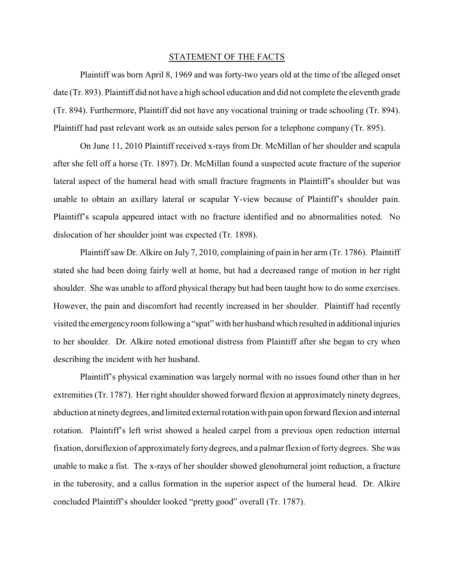## STATEMENT OF THE FACTS

Plaintiff was born April 8, 1969 and was forty-two years old at the time of the alleged onset date (Tr. 893). Plaintiff did not have a high school education and did not complete the eleventh grade (Tr. 894). Furthermore, Plaintiff did not have any vocational training or trade schooling (Tr. 894). Plaintiff had past relevant work as an outside sales person for a telephone company (Tr. 895).

On June 11, 2010 Plaintiff received x-rays from Dr. McMillan of her shoulder and scapula after she fell off a horse (Tr. 1897). Dr. McMillan found a suspected acute fracture of the superior lateral aspect of the humeral head with small fracture fragments in Plaintiff's shoulder but was unable to obtain an axillary lateral or scapular Y-view because of Plaintiff's shoulder pain. Plaintiff's scapula appeared intact with no fracture identified and no abnormalities noted. No dislocation of her shoulder joint was expected (Tr. 1898).

Plaintiff saw Dr. Alkire on July 7, 2010, complaining of pain in her arm (Tr. 1786). Plaintiff stated she had been doing fairly well at home, but had a decreased range of motion in her right shoulder. She was unable to afford physical therapy but had been taught how to do some exercises. However, the pain and discomfort had recently increased in her shoulder. Plaintiff had recently visited the emergencyroom following a "spat" with her husband which resulted in additional injuries to her shoulder. Dr. Alkire noted emotional distress from Plaintiff after she began to cry when describing the incident with her husband.

Plaintiff's physical examination was largely normal with no issues found other than in her extremities (Tr. 1787). Her right shoulder showed forward flexion at approximately ninety degrees, abduction at ninetydegrees, and limited external rotation with pain upon forward flexion and internal rotation. Plaintiff's left wrist showed a healed carpel from a previous open reduction internal fixation, dorsiflexion of approximately forty degrees, and a palmar flexion of forty degrees. She was unable to make a fist. The x-rays of her shoulder showed glenohumeral joint reduction, a fracture in the tuberosity, and a callus formation in the superior aspect of the humeral head. Dr. Alkire concluded Plaintiff's shoulder looked "pretty good" overall (Tr. 1787).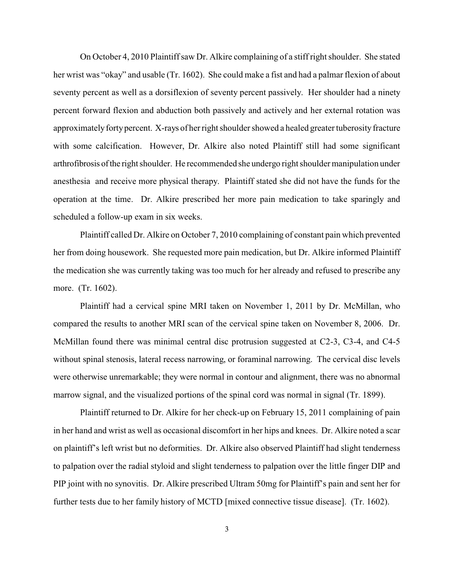On October 4, 2010 Plaintiff saw Dr. Alkire complaining of a stiff right shoulder. She stated her wrist was "okay" and usable (Tr. 1602). She could make a fist and had a palmar flexion of about seventy percent as well as a dorsiflexion of seventy percent passively. Her shoulder had a ninety percent forward flexion and abduction both passively and actively and her external rotation was approximately forty percent. X-rays of her right shoulder showed a healed greater tuberosity fracture with some calcification. However, Dr. Alkire also noted Plaintiff still had some significant arthrofibrosis ofthe right shoulder. He recommended she undergo right shoulder manipulation under anesthesia and receive more physical therapy. Plaintiff stated she did not have the funds for the operation at the time. Dr. Alkire prescribed her more pain medication to take sparingly and scheduled a follow-up exam in six weeks.

Plaintiff called Dr. Alkire on October 7, 2010 complaining of constant pain which prevented her from doing housework. She requested more pain medication, but Dr. Alkire informed Plaintiff the medication she was currently taking was too much for her already and refused to prescribe any more. (Tr. 1602).

Plaintiff had a cervical spine MRI taken on November 1, 2011 by Dr. McMillan, who compared the results to another MRI scan of the cervical spine taken on November 8, 2006. Dr. McMillan found there was minimal central disc protrusion suggested at C2-3, C3-4, and C4-5 without spinal stenosis, lateral recess narrowing, or foraminal narrowing. The cervical disc levels were otherwise unremarkable; they were normal in contour and alignment, there was no abnormal marrow signal, and the visualized portions of the spinal cord was normal in signal (Tr. 1899).

Plaintiff returned to Dr. Alkire for her check-up on February 15, 2011 complaining of pain in her hand and wrist as well as occasional discomfort in her hips and knees. Dr. Alkire noted a scar on plaintiff's left wrist but no deformities. Dr. Alkire also observed Plaintiff had slight tenderness to palpation over the radial styloid and slight tenderness to palpation over the little finger DIP and PIP joint with no synovitis. Dr. Alkire prescribed Ultram 50mg for Plaintiff's pain and sent her for further tests due to her family history of MCTD [mixed connective tissue disease]. (Tr. 1602).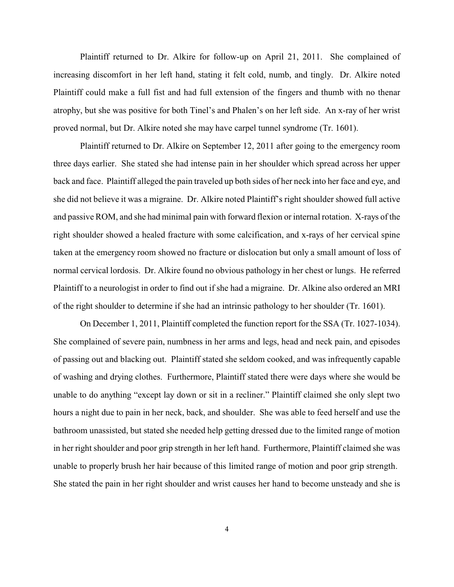Plaintiff returned to Dr. Alkire for follow-up on April 21, 2011. She complained of increasing discomfort in her left hand, stating it felt cold, numb, and tingly. Dr. Alkire noted Plaintiff could make a full fist and had full extension of the fingers and thumb with no thenar atrophy, but she was positive for both Tinel's and Phalen's on her left side. An x-ray of her wrist proved normal, but Dr. Alkire noted she may have carpel tunnel syndrome (Tr. 1601).

Plaintiff returned to Dr. Alkire on September 12, 2011 after going to the emergency room three days earlier. She stated she had intense pain in her shoulder which spread across her upper back and face. Plaintiff alleged the pain traveled up both sides of her neck into her face and eye, and she did not believe it was a migraine. Dr. Alkire noted Plaintiff's right shoulder showed full active and passive ROM, and she had minimal pain with forward flexion or internal rotation. X-rays of the right shoulder showed a healed fracture with some calcification, and x-rays of her cervical spine taken at the emergency room showed no fracture or dislocation but only a small amount of loss of normal cervical lordosis. Dr. Alkire found no obvious pathology in her chest or lungs. He referred Plaintiff to a neurologist in order to find out if she had a migraine. Dr. Alkine also ordered an MRI of the right shoulder to determine if she had an intrinsic pathology to her shoulder (Tr. 1601).

On December 1, 2011, Plaintiff completed the function report for the SSA (Tr. 1027-1034). She complained of severe pain, numbness in her arms and legs, head and neck pain, and episodes of passing out and blacking out. Plaintiff stated she seldom cooked, and was infrequently capable of washing and drying clothes. Furthermore, Plaintiff stated there were days where she would be unable to do anything "except lay down or sit in a recliner." Plaintiff claimed she only slept two hours a night due to pain in her neck, back, and shoulder. She was able to feed herself and use the bathroom unassisted, but stated she needed help getting dressed due to the limited range of motion in her right shoulder and poor grip strength in her left hand. Furthermore, Plaintiff claimed she was unable to properly brush her hair because of this limited range of motion and poor grip strength. She stated the pain in her right shoulder and wrist causes her hand to become unsteady and she is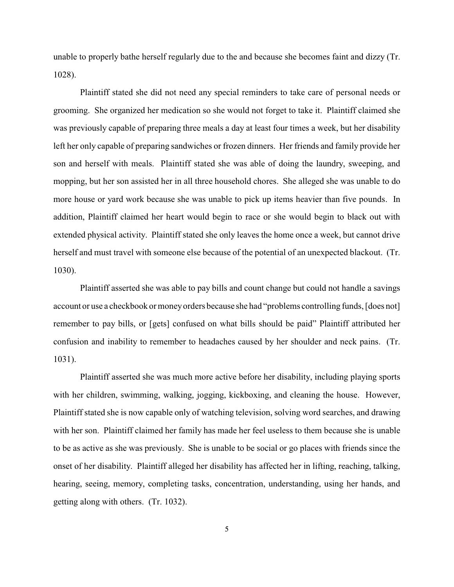unable to properly bathe herself regularly due to the and because she becomes faint and dizzy (Tr. 1028).

Plaintiff stated she did not need any special reminders to take care of personal needs or grooming. She organized her medication so she would not forget to take it. Plaintiff claimed she was previously capable of preparing three meals a day at least four times a week, but her disability left her only capable of preparing sandwiches or frozen dinners. Her friends and family provide her son and herself with meals. Plaintiff stated she was able of doing the laundry, sweeping, and mopping, but her son assisted her in all three household chores. She alleged she was unable to do more house or yard work because she was unable to pick up items heavier than five pounds. In addition, Plaintiff claimed her heart would begin to race or she would begin to black out with extended physical activity. Plaintiff stated she only leaves the home once a week, but cannot drive herself and must travel with someone else because of the potential of an unexpected blackout. (Tr. 1030).

Plaintiff asserted she was able to pay bills and count change but could not handle a savings account or use a checkbook or moneyorders because she had "problems controlling funds, [does not] remember to pay bills, or [gets] confused on what bills should be paid" Plaintiff attributed her confusion and inability to remember to headaches caused by her shoulder and neck pains. (Tr. 1031).

Plaintiff asserted she was much more active before her disability, including playing sports with her children, swimming, walking, jogging, kickboxing, and cleaning the house. However, Plaintiff stated she is now capable only of watching television, solving word searches, and drawing with her son. Plaintiff claimed her family has made her feel useless to them because she is unable to be as active as she was previously. She is unable to be social or go places with friends since the onset of her disability. Plaintiff alleged her disability has affected her in lifting, reaching, talking, hearing, seeing, memory, completing tasks, concentration, understanding, using her hands, and getting along with others. (Tr. 1032).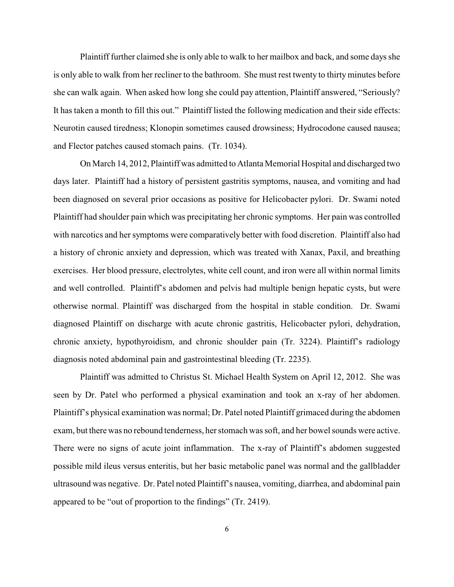Plaintiff further claimed she is only able to walk to her mailbox and back, and some days she is only able to walk from her recliner to the bathroom. She must rest twenty to thirty minutes before she can walk again. When asked how long she could pay attention, Plaintiff answered, "Seriously? It has taken a month to fill this out." Plaintiff listed the following medication and their side effects: Neurotin caused tiredness; Klonopin sometimes caused drowsiness; Hydrocodone caused nausea; and Flector patches caused stomach pains. (Tr. 1034).

On March 14, 2012, Plaintiff was admitted to Atlanta Memorial Hospital and discharged two days later. Plaintiff had a history of persistent gastritis symptoms, nausea, and vomiting and had been diagnosed on several prior occasions as positive for Helicobacter pylori. Dr. Swami noted Plaintiff had shoulder pain which was precipitating her chronic symptoms. Her pain was controlled with narcotics and her symptoms were comparatively better with food discretion. Plaintiff also had a history of chronic anxiety and depression, which was treated with Xanax, Paxil, and breathing exercises. Her blood pressure, electrolytes, white cell count, and iron were all within normal limits and well controlled. Plaintiff's abdomen and pelvis had multiple benign hepatic cysts, but were otherwise normal. Plaintiff was discharged from the hospital in stable condition. Dr. Swami diagnosed Plaintiff on discharge with acute chronic gastritis, Helicobacter pylori, dehydration, chronic anxiety, hypothyroidism, and chronic shoulder pain (Tr. 3224). Plaintiff's radiology diagnosis noted abdominal pain and gastrointestinal bleeding (Tr. 2235).

Plaintiff was admitted to Christus St. Michael Health System on April 12, 2012. She was seen by Dr. Patel who performed a physical examination and took an x-ray of her abdomen. Plaintiff's physical examination was normal; Dr. Patel noted Plaintiff grimaced during the abdomen exam, but there was no rebound tenderness, her stomach was soft, and her bowel sounds were active. There were no signs of acute joint inflammation. The x-ray of Plaintiff's abdomen suggested possible mild ileus versus enteritis, but her basic metabolic panel was normal and the gallbladder ultrasound was negative. Dr. Patel noted Plaintiff's nausea, vomiting, diarrhea, and abdominal pain appeared to be "out of proportion to the findings" (Tr. 2419).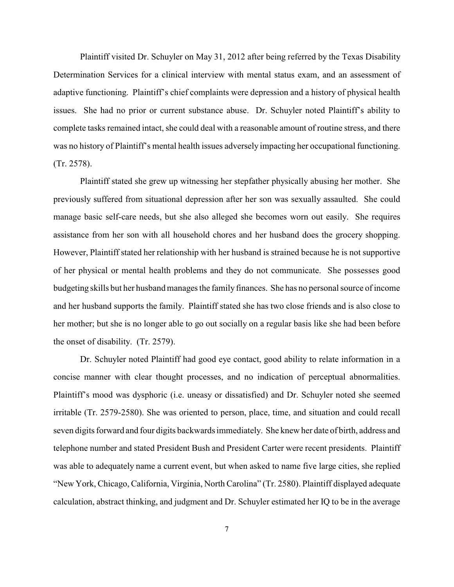Plaintiff visited Dr. Schuyler on May 31, 2012 after being referred by the Texas Disability Determination Services for a clinical interview with mental status exam, and an assessment of adaptive functioning. Plaintiff's chief complaints were depression and a history of physical health issues. She had no prior or current substance abuse. Dr. Schuyler noted Plaintiff's ability to complete tasks remained intact, she could deal with a reasonable amount of routine stress, and there was no history of Plaintiff's mental health issues adversely impacting her occupational functioning. (Tr. 2578).

Plaintiff stated she grew up witnessing her stepfather physically abusing her mother. She previously suffered from situational depression after her son was sexually assaulted. She could manage basic self-care needs, but she also alleged she becomes worn out easily. She requires assistance from her son with all household chores and her husband does the grocery shopping. However, Plaintiff stated her relationship with her husband is strained because he is not supportive of her physical or mental health problems and they do not communicate. She possesses good budgeting skills but her husband manages the family finances. She has no personal source of income and her husband supports the family. Plaintiff stated she has two close friends and is also close to her mother; but she is no longer able to go out socially on a regular basis like she had been before the onset of disability. (Tr. 2579).

Dr. Schuyler noted Plaintiff had good eye contact, good ability to relate information in a concise manner with clear thought processes, and no indication of perceptual abnormalities. Plaintiff's mood was dysphoric (i.e. uneasy or dissatisfied) and Dr. Schuyler noted she seemed irritable (Tr. 2579-2580). She was oriented to person, place, time, and situation and could recall seven digits forward and four digits backwards immediately. She knew her date of birth, address and telephone number and stated President Bush and President Carter were recent presidents. Plaintiff was able to adequately name a current event, but when asked to name five large cities, she replied "New York, Chicago, California, Virginia, North Carolina" (Tr. 2580). Plaintiff displayed adequate calculation, abstract thinking, and judgment and Dr. Schuyler estimated her IQ to be in the average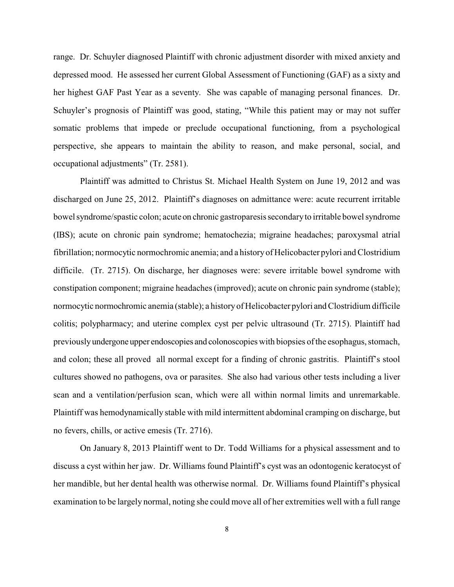range. Dr. Schuyler diagnosed Plaintiff with chronic adjustment disorder with mixed anxiety and depressed mood. He assessed her current Global Assessment of Functioning (GAF) as a sixty and her highest GAF Past Year as a seventy. She was capable of managing personal finances. Dr. Schuyler's prognosis of Plaintiff was good, stating, "While this patient may or may not suffer somatic problems that impede or preclude occupational functioning, from a psychological perspective, she appears to maintain the ability to reason, and make personal, social, and occupational adjustments" (Tr. 2581).

Plaintiff was admitted to Christus St. Michael Health System on June 19, 2012 and was discharged on June 25, 2012. Plaintiff's diagnoses on admittance were: acute recurrent irritable bowel syndrome/spastic colon; acute on chronic gastroparesis secondaryto irritable bowel syndrome (IBS); acute on chronic pain syndrome; hematochezia; migraine headaches; paroxysmal atrial fibrillation; normocytic normochromic anemia; and a history of Helicobacter pylori and Clostridium difficile. (Tr. 2715). On discharge, her diagnoses were: severe irritable bowel syndrome with constipation component; migraine headaches (improved); acute on chronic pain syndrome (stable); normocytic normochromic anemia (stable); a historyof Helicobacter pylori and Clostridium difficile colitis; polypharmacy; and uterine complex cyst per pelvic ultrasound (Tr. 2715). Plaintiff had previouslyundergone upper endoscopies and colonoscopies with biopsies of the esophagus, stomach, and colon; these all proved all normal except for a finding of chronic gastritis. Plaintiff's stool cultures showed no pathogens, ova or parasites. She also had various other tests including a liver scan and a ventilation/perfusion scan, which were all within normal limits and unremarkable. Plaintiff was hemodynamically stable with mild intermittent abdominal cramping on discharge, but no fevers, chills, or active emesis (Tr. 2716).

On January 8, 2013 Plaintiff went to Dr. Todd Williams for a physical assessment and to discuss a cyst within her jaw. Dr. Williams found Plaintiff's cyst was an odontogenic keratocyst of her mandible, but her dental health was otherwise normal. Dr. Williams found Plaintiff's physical examination to be largely normal, noting she could move all of her extremities well with a full range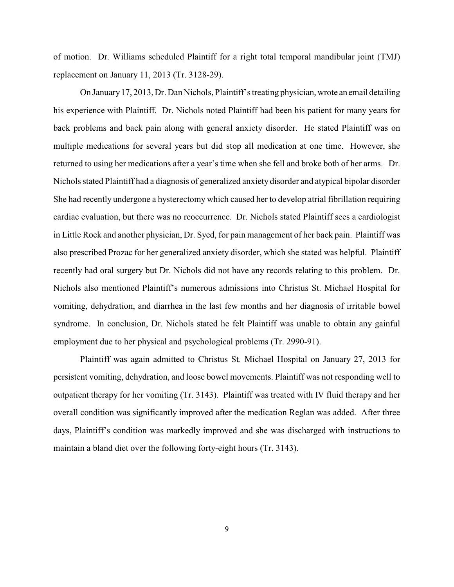of motion. Dr. Williams scheduled Plaintiff for a right total temporal mandibular joint (TMJ) replacement on January 11, 2013 (Tr. 3128-29).

On January17, 2013, Dr. Dan Nichols, Plaintiff's treating physician, wrote an email detailing his experience with Plaintiff. Dr. Nichols noted Plaintiff had been his patient for many years for back problems and back pain along with general anxiety disorder. He stated Plaintiff was on multiple medications for several years but did stop all medication at one time. However, she returned to using her medications after a year's time when she fell and broke both of her arms. Dr. Nichols stated Plaintiff had a diagnosis of generalized anxiety disorder and atypical bipolar disorder She had recently undergone a hysterectomy which caused her to develop atrial fibrillation requiring cardiac evaluation, but there was no reoccurrence. Dr. Nichols stated Plaintiff sees a cardiologist in Little Rock and another physician, Dr. Syed, for pain management of her back pain. Plaintiff was also prescribed Prozac for her generalized anxiety disorder, which she stated was helpful. Plaintiff recently had oral surgery but Dr. Nichols did not have any records relating to this problem. Dr. Nichols also mentioned Plaintiff's numerous admissions into Christus St. Michael Hospital for vomiting, dehydration, and diarrhea in the last few months and her diagnosis of irritable bowel syndrome. In conclusion, Dr. Nichols stated he felt Plaintiff was unable to obtain any gainful employment due to her physical and psychological problems (Tr. 2990-91).

Plaintiff was again admitted to Christus St. Michael Hospital on January 27, 2013 for persistent vomiting, dehydration, and loose bowel movements. Plaintiff was not responding well to outpatient therapy for her vomiting (Tr. 3143). Plaintiff was treated with IV fluid therapy and her overall condition was significantly improved after the medication Reglan was added. After three days, Plaintiff's condition was markedly improved and she was discharged with instructions to maintain a bland diet over the following forty-eight hours (Tr. 3143).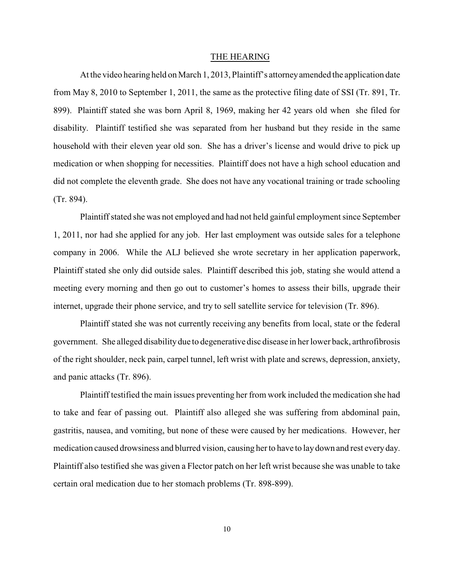#### THE HEARING

At the video hearing held on March 1, 2013, Plaintiff's attorneyamended the application date from May 8, 2010 to September 1, 2011, the same as the protective filing date of SSI (Tr. 891, Tr. 899). Plaintiff stated she was born April 8, 1969, making her 42 years old when she filed for disability. Plaintiff testified she was separated from her husband but they reside in the same household with their eleven year old son. She has a driver's license and would drive to pick up medication or when shopping for necessities. Plaintiff does not have a high school education and did not complete the eleventh grade. She does not have any vocational training or trade schooling (Tr. 894).

Plaintiff stated she was not employed and had not held gainful employment since September 1, 2011, nor had she applied for any job. Her last employment was outside sales for a telephone company in 2006. While the ALJ believed she wrote secretary in her application paperwork, Plaintiff stated she only did outside sales. Plaintiff described this job, stating she would attend a meeting every morning and then go out to customer's homes to assess their bills, upgrade their internet, upgrade their phone service, and try to sell satellite service for television (Tr. 896).

Plaintiff stated she was not currently receiving any benefits from local, state or the federal government. She alleged disabilitydue to degenerative disc disease in her lower back, arthrofibrosis of the right shoulder, neck pain, carpel tunnel, left wrist with plate and screws, depression, anxiety, and panic attacks (Tr. 896).

Plaintiff testified the main issues preventing her from work included the medication she had to take and fear of passing out. Plaintiff also alleged she was suffering from abdominal pain, gastritis, nausea, and vomiting, but none of these were caused by her medications. However, her medication caused drowsiness and blurred vision, causing her to have to laydown and rest everyday. Plaintiff also testified she was given a Flector patch on her left wrist because she was unable to take certain oral medication due to her stomach problems (Tr. 898-899).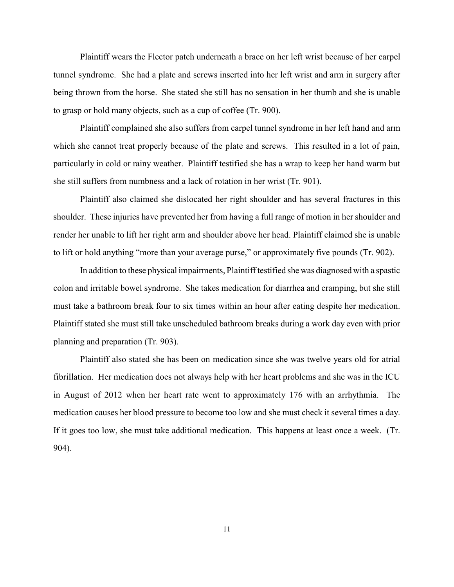Plaintiff wears the Flector patch underneath a brace on her left wrist because of her carpel tunnel syndrome. She had a plate and screws inserted into her left wrist and arm in surgery after being thrown from the horse. She stated she still has no sensation in her thumb and she is unable to grasp or hold many objects, such as a cup of coffee (Tr. 900).

Plaintiff complained she also suffers from carpel tunnel syndrome in her left hand and arm which she cannot treat properly because of the plate and screws. This resulted in a lot of pain, particularly in cold or rainy weather. Plaintiff testified she has a wrap to keep her hand warm but she still suffers from numbness and a lack of rotation in her wrist (Tr. 901).

Plaintiff also claimed she dislocated her right shoulder and has several fractures in this shoulder. These injuries have prevented her from having a full range of motion in her shoulder and render her unable to lift her right arm and shoulder above her head. Plaintiff claimed she is unable to lift or hold anything "more than your average purse," or approximately five pounds (Tr. 902).

In addition to these physical impairments, Plaintiff testified she was diagnosed with a spastic colon and irritable bowel syndrome. She takes medication for diarrhea and cramping, but she still must take a bathroom break four to six times within an hour after eating despite her medication. Plaintiff stated she must still take unscheduled bathroom breaks during a work day even with prior planning and preparation (Tr. 903).

Plaintiff also stated she has been on medication since she was twelve years old for atrial fibrillation. Her medication does not always help with her heart problems and she was in the ICU in August of 2012 when her heart rate went to approximately 176 with an arrhythmia. The medication causes her blood pressure to become too low and she must check it several times a day. If it goes too low, she must take additional medication. This happens at least once a week. (Tr. 904).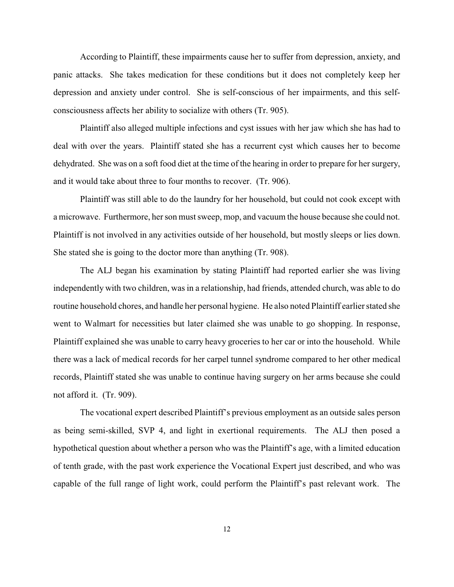According to Plaintiff, these impairments cause her to suffer from depression, anxiety, and panic attacks. She takes medication for these conditions but it does not completely keep her depression and anxiety under control. She is self-conscious of her impairments, and this selfconsciousness affects her ability to socialize with others (Tr. 905).

Plaintiff also alleged multiple infections and cyst issues with her jaw which she has had to deal with over the years. Plaintiff stated she has a recurrent cyst which causes her to become dehydrated. She was on a soft food diet at the time of the hearing in order to prepare for her surgery, and it would take about three to four months to recover. (Tr. 906).

Plaintiff was still able to do the laundry for her household, but could not cook except with a microwave. Furthermore, her son must sweep, mop, and vacuum the house because she could not. Plaintiff is not involved in any activities outside of her household, but mostly sleeps or lies down. She stated she is going to the doctor more than anything (Tr. 908).

The ALJ began his examination by stating Plaintiff had reported earlier she was living independently with two children, was in a relationship, had friends, attended church, was able to do routine household chores, and handle her personal hygiene. He also noted Plaintiff earlier stated she went to Walmart for necessities but later claimed she was unable to go shopping. In response, Plaintiff explained she was unable to carry heavy groceries to her car or into the household. While there was a lack of medical records for her carpel tunnel syndrome compared to her other medical records, Plaintiff stated she was unable to continue having surgery on her arms because she could not afford it. (Tr. 909).

The vocational expert described Plaintiff's previous employment as an outside sales person as being semi-skilled, SVP 4, and light in exertional requirements. The ALJ then posed a hypothetical question about whether a person who was the Plaintiff's age, with a limited education of tenth grade, with the past work experience the Vocational Expert just described, and who was capable of the full range of light work, could perform the Plaintiff's past relevant work. The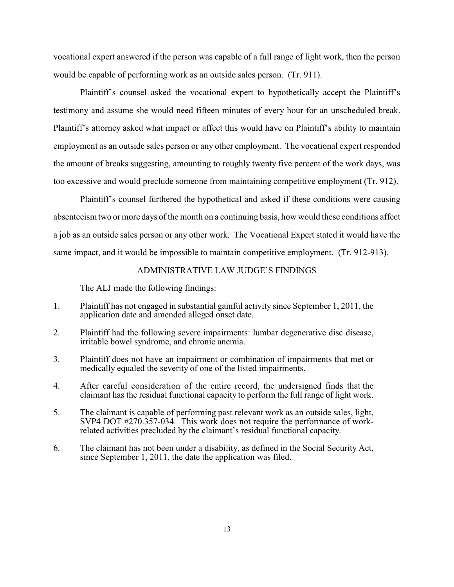vocational expert answered if the person was capable of a full range of light work, then the person would be capable of performing work as an outside sales person. (Tr. 911).

Plaintiff's counsel asked the vocational expert to hypothetically accept the Plaintiff's testimony and assume she would need fifteen minutes of every hour for an unscheduled break. Plaintiff's attorney asked what impact or affect this would have on Plaintiff's ability to maintain employment as an outside sales person or any other employment. The vocational expert responded the amount of breaks suggesting, amounting to roughly twenty five percent of the work days, was too excessive and would preclude someone from maintaining competitive employment (Tr. 912).

Plaintiff's counsel furthered the hypothetical and asked if these conditions were causing absenteeism two or more days of the month on a continuing basis, how would these conditions affect a job as an outside sales person or any other work. The Vocational Expert stated it would have the same impact, and it would be impossible to maintain competitive employment. (Tr. 912-913).

#### ADMINISTRATIVE LAW JUDGE'S FINDINGS

The ALJ made the following findings:

- 1. Plaintiff has not engaged in substantial gainful activity since September 1, 2011, the application date and amended alleged onset date.
- 2. Plaintiff had the following severe impairments: lumbar degenerative disc disease, irritable bowel syndrome, and chronic anemia.
- 3. Plaintiff does not have an impairment or combination of impairments that met or medically equaled the severity of one of the listed impairments.
- 4. After careful consideration of the entire record, the undersigned finds that the claimant has the residual functional capacity to perform the full range of light work.
- 5. The claimant is capable of performing past relevant work as an outside sales, light, SVP4 DOT #270.357-034. This work does not require the performance of workrelated activities precluded by the claimant's residual functional capacity.
- 6. The claimant has not been under a disability, as defined in the Social Security Act, since September 1, 2011, the date the application was filed.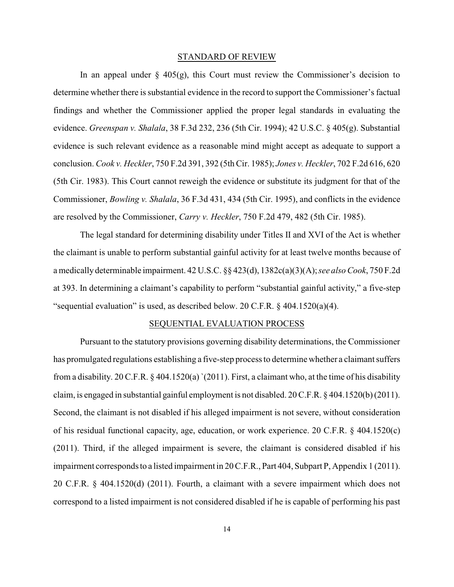#### STANDARD OF REVIEW

In an appeal under  $\S$  405(g), this Court must review the Commissioner's decision to determine whether there is substantial evidence in the record to support the Commissioner's factual findings and whether the Commissioner applied the proper legal standards in evaluating the evidence. *Greenspan v. Shalala*, 38 F.3d 232, 236 (5th Cir. 1994); 42 U.S.C. § 405(g). Substantial evidence is such relevant evidence as a reasonable mind might accept as adequate to support a conclusion. *Cook v. Heckler*, 750 F.2d 391, 392 (5th Cir. 1985); *Jones v. Heckler*, 702 F.2d 616, 620 (5th Cir. 1983). This Court cannot reweigh the evidence or substitute its judgment for that of the Commissioner, *Bowling v. Shalala*, 36 F.3d 431, 434 (5th Cir. 1995), and conflicts in the evidence are resolved by the Commissioner, *Carry v. Heckler*, 750 F.2d 479, 482 (5th Cir. 1985).

The legal standard for determining disability under Titles II and XVI of the Act is whether the claimant is unable to perform substantial gainful activity for at least twelve months because of a medically determinable impairment. 42 U.S.C. §§ 423(d), 1382c(a)(3)(A); *see also Cook*, 750 F.2d at 393. In determining a claimant's capability to perform "substantial gainful activity," a five-step "sequential evaluation" is used, as described below. 20 C.F.R.  $\S$  404.1520(a)(4).

#### SEQUENTIAL EVALUATION PROCESS

Pursuant to the statutory provisions governing disability determinations, the Commissioner has promulgated regulations establishing a five-step process to determine whether a claimant suffers from a disability. 20 C.F.R. § 404.1520(a) `(2011). First, a claimant who, at the time of his disability claim, is engaged in substantial gainful employment is not disabled. 20 C.F.R. § 404.1520(b) (2011). Second, the claimant is not disabled if his alleged impairment is not severe, without consideration of his residual functional capacity, age, education, or work experience. 20 C.F.R. § 404.1520(c) (2011). Third, if the alleged impairment is severe, the claimant is considered disabled if his impairment corresponds to a listed impairment in 20 C.F.R., Part 404, Subpart P, Appendix 1 (2011). 20 C.F.R. § 404.1520(d) (2011). Fourth, a claimant with a severe impairment which does not correspond to a listed impairment is not considered disabled if he is capable of performing his past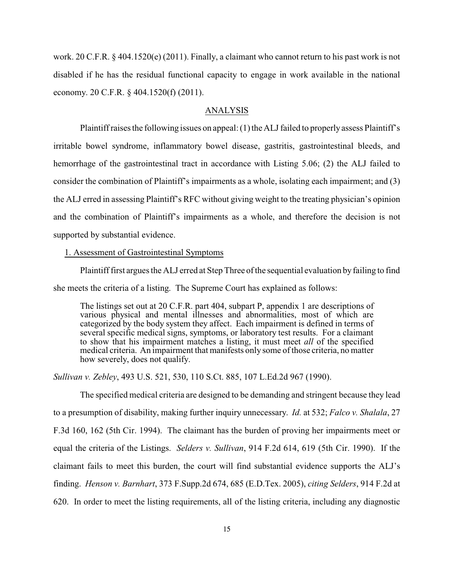work. 20 C.F.R. § 404.1520(e) (2011). Finally, a claimant who cannot return to his past work is not disabled if he has the residual functional capacity to engage in work available in the national economy. 20 C.F.R. § 404.1520(f) (2011).

## ANALYSIS

Plaintiff raises the following issues on appeal: (1) the ALJ failed to properly assess Plaintiff's irritable bowel syndrome, inflammatory bowel disease, gastritis, gastrointestinal bleeds, and hemorrhage of the gastrointestinal tract in accordance with Listing 5.06; (2) the ALJ failed to consider the combination of Plaintiff's impairments as a whole, isolating each impairment; and (3) the ALJ erred in assessing Plaintiff's RFC without giving weight to the treating physician's opinion and the combination of Plaintiff's impairments as a whole, and therefore the decision is not supported by substantial evidence.

### 1. Assessment of Gastrointestinal Symptoms

Plaintiff first argues the ALJ erred at Step Three of the sequential evaluation byfailing to find she meets the criteria of a listing. The Supreme Court has explained as follows:

The listings set out at 20 C.F.R. part 404, subpart P, appendix 1 are descriptions of various physical and mental illnesses and abnormalities, most of which are categorized by the body system they affect. Each impairment is defined in terms of several specific medical signs, symptoms, or laboratory test results. For a claimant to show that his impairment matches a listing, it must meet *all* of the specified medical criteria. An impairment that manifests only some of those criteria, no matter how severely, does not qualify.

*Sullivan v. Zebley*, 493 U.S. 521, 530, 110 S.Ct. 885, 107 L.Ed.2d 967 (1990).

The specified medical criteria are designed to be demanding and stringent because they lead to a presumption of disability, making further inquiry unnecessary. *Id.* at 532; *Falco v. Shalala*, 27 F.3d 160, 162 (5th Cir. 1994). The claimant has the burden of proving her impairments meet or equal the criteria of the Listings. *Selders v. Sullivan*, 914 F.2d 614, 619 (5th Cir. 1990). If the claimant fails to meet this burden, the court will find substantial evidence supports the ALJ's finding. *Henson v. Barnhart*, 373 F.Supp.2d 674, 685 (E.D.Tex. 2005), *citing Selders*, 914 F.2d at 620. In order to meet the listing requirements, all of the listing criteria, including any diagnostic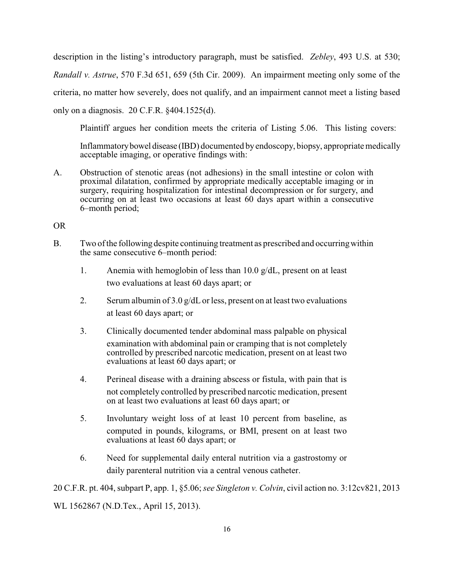description in the listing's introductory paragraph, must be satisfied. *Zebley*, 493 U.S. at 530; *Randall v. Astrue*, 570 F.3d 651, 659 (5th Cir. 2009). An impairment meeting only some of the criteria, no matter how severely, does not qualify, and an impairment cannot meet a listing based only on a diagnosis. 20 C.F.R. §404.1525(d).

Plaintiff argues her condition meets the criteria of Listing 5.06. This listing covers:

Inflammatorybowel disease (IBD) documented byendoscopy, biopsy, appropriate medically acceptable imaging, or operative findings with:

A. Obstruction of stenotic areas (not adhesions) in the small intestine or colon with proximal dilatation, confirmed by appropriate medically acceptable imaging or in surgery, requiring hospitalization for intestinal decompression or for surgery, and occurring on at least two occasions at least 60 days apart within a consecutive 6–month period;

OR

- B. Two of the following despite continuing treatment as prescribed and occurringwithin the same consecutive 6–month period:
	- 1. Anemia with hemoglobin of less than 10.0  $g/dL$ , present on at least two evaluations at least 60 days apart; or
	- 2. Serum albumin of  $3.0 \frac{\text{g}}{\text{d}}$  or less, present on at least two evaluations at least 60 days apart; or
	- 3. Clinically documented tender abdominal mass palpable on physical examination with abdominal pain or cramping that is not completely controlled by prescribed narcotic medication, present on at least two evaluations at least 60 days apart; or
	- 4. Perineal disease with a draining abscess or fistula, with pain that is not completely controlled by prescribed narcotic medication, present on at least two evaluations at least 60 days apart; or
	- 5. Involuntary weight loss of at least 10 percent from baseline, as computed in pounds, kilograms, or BMI, present on at least two evaluations at least 60 days apart; or
	- 6. Need for supplemental daily enteral nutrition via a gastrostomy or daily parenteral nutrition via a central venous catheter.

20 C.F.R. pt. 404, subpart P, app. 1, §5.06; *see Singleton v. Colvin*, civil action no. 3:12cv821, 2013 WL 1562867 (N.D.Tex., April 15, 2013).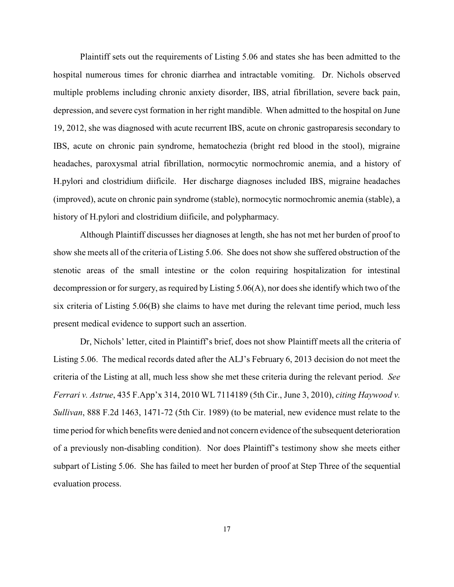Plaintiff sets out the requirements of Listing 5.06 and states she has been admitted to the hospital numerous times for chronic diarrhea and intractable vomiting. Dr. Nichols observed multiple problems including chronic anxiety disorder, IBS, atrial fibrillation, severe back pain, depression, and severe cyst formation in her right mandible. When admitted to the hospital on June 19, 2012, she was diagnosed with acute recurrent IBS, acute on chronic gastroparesis secondary to IBS, acute on chronic pain syndrome, hematochezia (bright red blood in the stool), migraine headaches, paroxysmal atrial fibrillation, normocytic normochromic anemia, and a history of H.pylori and clostridium diificile. Her discharge diagnoses included IBS, migraine headaches (improved), acute on chronic pain syndrome (stable), normocytic normochromic anemia (stable), a history of H.pylori and clostridium diificile, and polypharmacy.

Although Plaintiff discusses her diagnoses at length, she has not met her burden of proof to show she meets all of the criteria of Listing 5.06. She does not show she suffered obstruction of the stenotic areas of the small intestine or the colon requiring hospitalization for intestinal decompression or for surgery, as required byListing 5.06(A), nor does she identify which two of the six criteria of Listing 5.06(B) she claims to have met during the relevant time period, much less present medical evidence to support such an assertion.

Dr, Nichols' letter, cited in Plaintiff's brief, does not show Plaintiff meets all the criteria of Listing 5.06. The medical records dated after the ALJ's February 6, 2013 decision do not meet the criteria of the Listing at all, much less show she met these criteria during the relevant period. *See Ferrari v. Astrue*, 435 F.App'x 314, 2010 WL 7114189 (5th Cir., June 3, 2010), *citing Haywood v. Sullivan*, 888 F.2d 1463, 1471-72 (5th Cir. 1989) (to be material, new evidence must relate to the time period for which benefits were denied and not concern evidence of the subsequent deterioration of a previously non-disabling condition). Nor does Plaintiff's testimony show she meets either subpart of Listing 5.06. She has failed to meet her burden of proof at Step Three of the sequential evaluation process.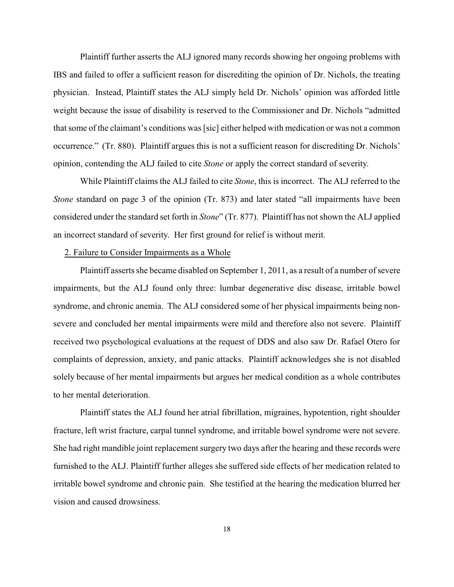Plaintiff further asserts the ALJ ignored many records showing her ongoing problems with IBS and failed to offer a sufficient reason for discrediting the opinion of Dr. Nichols, the treating physician. Instead, Plaintiff states the ALJ simply held Dr. Nichols' opinion was afforded little weight because the issue of disability is reserved to the Commissioner and Dr. Nichols "admitted that some of the claimant's conditions was [sic] either helped with medication or was not a common occurrence." (Tr. 880). Plaintiff argues this is not a sufficient reason for discrediting Dr. Nichols' opinion, contending the ALJ failed to cite *Stone* or apply the correct standard of severity.

While Plaintiff claims the ALJ failed to cite *Stone*, this is incorrect. The ALJ referred to the *Stone* standard on page 3 of the opinion (Tr. 873) and later stated "all impairments have been considered under the standard set forth in *Stone*" (Tr. 877). Plaintiff has not shown the ALJ applied an incorrect standard of severity. Her first ground for relief is without merit.

## 2. Failure to Consider Impairments as a Whole

Plaintiff asserts she became disabled on September 1, 2011, as a result of a number of severe impairments, but the ALJ found only three: lumbar degenerative disc disease, irritable bowel syndrome, and chronic anemia. The ALJ considered some of her physical impairments being nonsevere and concluded her mental impairments were mild and therefore also not severe. Plaintiff received two psychological evaluations at the request of DDS and also saw Dr. Rafael Otero for complaints of depression, anxiety, and panic attacks. Plaintiff acknowledges she is not disabled solely because of her mental impairments but argues her medical condition as a whole contributes to her mental deterioration.

Plaintiff states the ALJ found her atrial fibrillation, migraines, hypotention, right shoulder fracture, left wrist fracture, carpal tunnel syndrome, and irritable bowel syndrome were not severe. She had right mandible joint replacement surgery two days after the hearing and these records were furnished to the ALJ. Plaintiff further alleges she suffered side effects of her medication related to irritable bowel syndrome and chronic pain. She testified at the hearing the medication blurred her vision and caused drowsiness.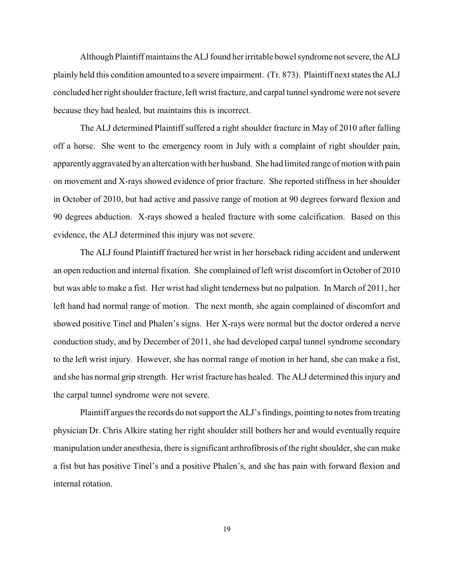Although Plaintiff maintains the ALJ found her irritable bowel syndrome not severe, the ALJ plainly held this condition amounted to a severe impairment. (Tr. 873). Plaintiff next states the ALJ concluded her right shoulder fracture, left wrist fracture, and carpal tunnel syndrome were not severe because they had healed, but maintains this is incorrect.

The ALJ determined Plaintiff suffered a right shoulder fracture in May of 2010 after falling off a horse. She went to the emergency room in July with a complaint of right shoulder pain, apparentlyaggravated by an altercation with her husband. She had limited range of motion with pain on movement and X-rays showed evidence of prior fracture. She reported stiffness in her shoulder in October of 2010, but had active and passive range of motion at 90 degrees forward flexion and 90 degrees abduction. X-rays showed a healed fracture with some calcification. Based on this evidence, the ALJ determined this injury was not severe.

The ALJ found Plaintiff fractured her wrist in her horseback riding accident and underwent an open reduction and internal fixation. She complained of left wrist discomfort in October of 2010 but was able to make a fist. Her wrist had slight tenderness but no palpation. In March of 2011, her left hand had normal range of motion. The next month, she again complained of discomfort and showed positive Tinel and Phalen's signs. Her X-rays were normal but the doctor ordered a nerve conduction study, and by December of 2011, she had developed carpal tunnel syndrome secondary to the left wrist injury. However, she has normal range of motion in her hand, she can make a fist, and she has normal grip strength. Her wrist fracture has healed. The ALJ determined this injury and the carpal tunnel syndrome were not severe.

Plaintiff argues the records do not support the ALJ's findings, pointing to notes from treating physician Dr. Chris Alkire stating her right shoulder still bothers her and would eventually require manipulation under anesthesia, there is significant arthrofibrosis of the right shoulder, she can make a fist but has positive Tinel's and a positive Phalen's, and she has pain with forward flexion and internal rotation.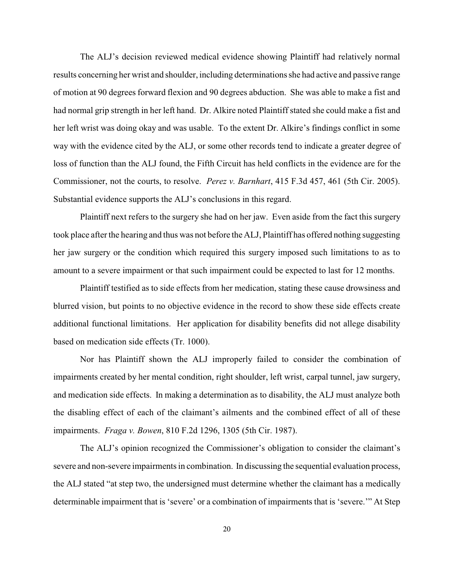The ALJ's decision reviewed medical evidence showing Plaintiff had relatively normal results concerning her wrist and shoulder, including determinations she had active and passive range of motion at 90 degrees forward flexion and 90 degrees abduction. She was able to make a fist and had normal grip strength in her left hand. Dr. Alkire noted Plaintiff stated she could make a fist and her left wrist was doing okay and was usable. To the extent Dr. Alkire's findings conflict in some way with the evidence cited by the ALJ, or some other records tend to indicate a greater degree of loss of function than the ALJ found, the Fifth Circuit has held conflicts in the evidence are for the Commissioner, not the courts, to resolve. *Perez v. Barnhart*, 415 F.3d 457, 461 (5th Cir. 2005). Substantial evidence supports the ALJ's conclusions in this regard.

Plaintiff next refers to the surgery she had on her jaw. Even aside from the fact this surgery took place after the hearing and thus was not before the ALJ, Plaintiff has offered nothing suggesting her jaw surgery or the condition which required this surgery imposed such limitations to as to amount to a severe impairment or that such impairment could be expected to last for 12 months.

Plaintiff testified as to side effects from her medication, stating these cause drowsiness and blurred vision, but points to no objective evidence in the record to show these side effects create additional functional limitations. Her application for disability benefits did not allege disability based on medication side effects (Tr. 1000).

Nor has Plaintiff shown the ALJ improperly failed to consider the combination of impairments created by her mental condition, right shoulder, left wrist, carpal tunnel, jaw surgery, and medication side effects. In making a determination as to disability, the ALJ must analyze both the disabling effect of each of the claimant's ailments and the combined effect of all of these impairments. *Fraga v. Bowen*, 810 F.2d 1296, 1305 (5th Cir. 1987).

The ALJ's opinion recognized the Commissioner's obligation to consider the claimant's severe and non-severe impairments in combination. In discussing the sequential evaluation process, the ALJ stated "at step two, the undersigned must determine whether the claimant has a medically determinable impairment that is 'severe' or a combination of impairments that is 'severe.'" At Step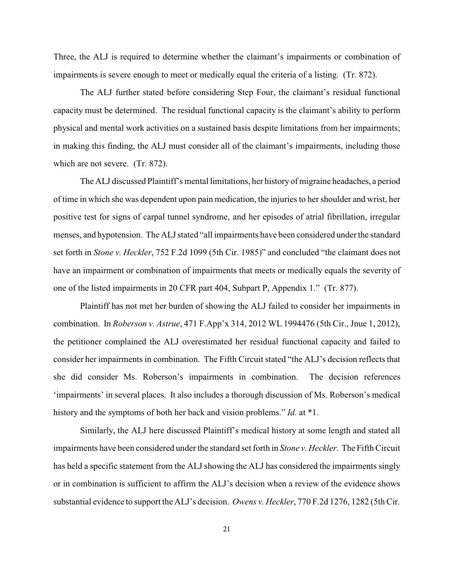Three, the ALJ is required to determine whether the claimant's impairments or combination of impairments is severe enough to meet or medically equal the criteria of a listing. (Tr. 872).

The ALJ further stated before considering Step Four, the claimant's residual functional capacity must be determined. The residual functional capacity is the claimant's ability to perform physical and mental work activities on a sustained basis despite limitations from her impairments; in making this finding, the ALJ must consider all of the claimant's impairments, including those which are not severe. (Tr. 872).

The ALJ discussed Plaintiff's mental limitations, her history of migraine headaches, a period of time in which she was dependent upon pain medication, the injuries to her shoulder and wrist, her positive test for signs of carpal tunnel syndrome, and her episodes of atrial fibrillation, irregular menses, and hypotension. The ALJ stated "all impairments have been considered under the standard set forth in *Stone v. Heckler*, 752 F.2d 1099 (5th Cir. 1985)" and concluded "the claimant does not have an impairment or combination of impairments that meets or medically equals the severity of one of the listed impairments in 20 CFR part 404, Subpart P, Appendix 1." (Tr. 877).

Plaintiff has not met her burden of showing the ALJ failed to consider her impairments in combination. In *Roberson v. Astrue*, 471 F.App'x 314, 2012 WL 1994476 (5th Cir., Jnue 1, 2012), the petitioner complained the ALJ overestimated her residual functional capacity and failed to consider her impairments in combination. The Fifth Circuit stated "the ALJ's decision reflects that she did consider Ms. Roberson's impairments in combination. The decision references 'impairments' in several places. It also includes a thorough discussion of Ms. Roberson's medical history and the symptoms of both her back and vision problems." *Id.* at \*1.

Similarly, the ALJ here discussed Plaintiff's medical history at some length and stated all impairments have been considered under the standard set forth in *Stone v. Heckler*. The Fifth Circuit has held a specific statement from the ALJ showing the ALJ has considered the impairments singly or in combination is sufficient to affirm the ALJ's decision when a review of the evidence shows substantial evidence to support the ALJ's decision. *Owens v. Heckler*, 770 F.2d 1276, 1282 (5th Cir.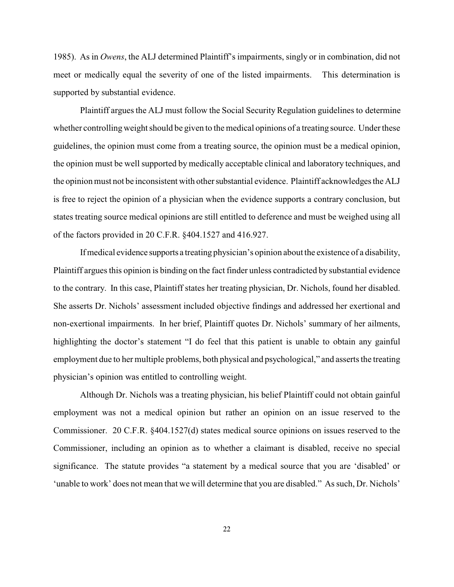1985). As in *Owens*, the ALJ determined Plaintiff's impairments, singly or in combination, did not meet or medically equal the severity of one of the listed impairments. This determination is supported by substantial evidence.

Plaintiff argues the ALJ must follow the Social Security Regulation guidelines to determine whether controlling weight should be given to the medical opinions of a treating source. Under these guidelines, the opinion must come from a treating source, the opinion must be a medical opinion, the opinion must be well supported by medically acceptable clinical and laboratory techniques, and the opinion must not be inconsistent with other substantial evidence. Plaintiff acknowledges the ALJ is free to reject the opinion of a physician when the evidence supports a contrary conclusion, but states treating source medical opinions are still entitled to deference and must be weighed using all of the factors provided in 20 C.F.R. §404.1527 and 416.927.

If medical evidence supports a treating physician's opinion about the existence of a disability, Plaintiff argues this opinion is binding on the fact finder unless contradicted by substantial evidence to the contrary. In this case, Plaintiff states her treating physician, Dr. Nichols, found her disabled. She asserts Dr. Nichols' assessment included objective findings and addressed her exertional and non-exertional impairments. In her brief, Plaintiff quotes Dr. Nichols' summary of her ailments, highlighting the doctor's statement "I do feel that this patient is unable to obtain any gainful employment due to her multiple problems, both physical and psychological," and asserts the treating physician's opinion was entitled to controlling weight.

Although Dr. Nichols was a treating physician, his belief Plaintiff could not obtain gainful employment was not a medical opinion but rather an opinion on an issue reserved to the Commissioner. 20 C.F.R. §404.1527(d) states medical source opinions on issues reserved to the Commissioner, including an opinion as to whether a claimant is disabled, receive no special significance. The statute provides "a statement by a medical source that you are 'disabled' or 'unable to work' does not mean that we will determine that you are disabled." As such, Dr. Nichols'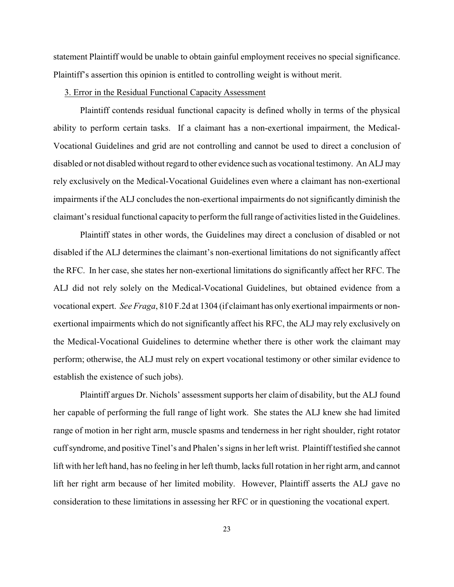statement Plaintiff would be unable to obtain gainful employment receives no special significance. Plaintiff's assertion this opinion is entitled to controlling weight is without merit.

#### 3. Error in the Residual Functional Capacity Assessment

Plaintiff contends residual functional capacity is defined wholly in terms of the physical ability to perform certain tasks. If a claimant has a non-exertional impairment, the Medical-Vocational Guidelines and grid are not controlling and cannot be used to direct a conclusion of disabled or not disabled without regard to other evidence such as vocational testimony. An ALJ may rely exclusively on the Medical-Vocational Guidelines even where a claimant has non-exertional impairments if the ALJ concludes the non-exertional impairments do not significantly diminish the claimant's residual functional capacity to perform the full range of activities listed in the Guidelines.

Plaintiff states in other words, the Guidelines may direct a conclusion of disabled or not disabled if the ALJ determines the claimant's non-exertional limitations do not significantly affect the RFC. In her case, she states her non-exertional limitations do significantly affect her RFC. The ALJ did not rely solely on the Medical-Vocational Guidelines, but obtained evidence from a vocational expert. *See Fraga*, 810 F.2d at 1304 (if claimant has only exertional impairments or nonexertional impairments which do not significantly affect his RFC, the ALJ may rely exclusively on the Medical-Vocational Guidelines to determine whether there is other work the claimant may perform; otherwise, the ALJ must rely on expert vocational testimony or other similar evidence to establish the existence of such jobs).

Plaintiff argues Dr. Nichols' assessment supports her claim of disability, but the ALJ found her capable of performing the full range of light work. She states the ALJ knew she had limited range of motion in her right arm, muscle spasms and tenderness in her right shoulder, right rotator cuff syndrome, and positive Tinel's and Phalen's signs in her left wrist. Plaintiff testified she cannot lift with her left hand, has no feeling in her left thumb, lacks full rotation in her right arm, and cannot lift her right arm because of her limited mobility. However, Plaintiff asserts the ALJ gave no consideration to these limitations in assessing her RFC or in questioning the vocational expert.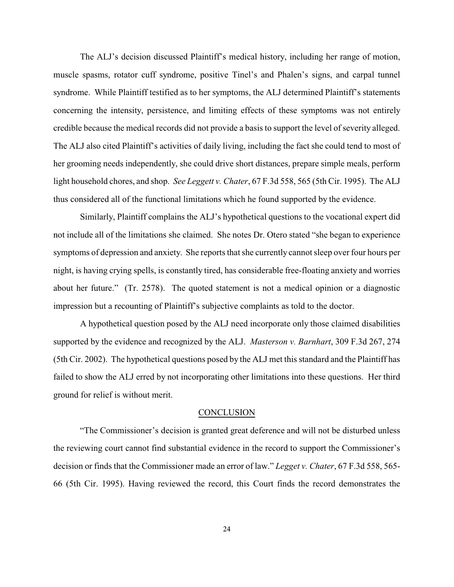The ALJ's decision discussed Plaintiff's medical history, including her range of motion, muscle spasms, rotator cuff syndrome, positive Tinel's and Phalen's signs, and carpal tunnel syndrome. While Plaintiff testified as to her symptoms, the ALJ determined Plaintiff's statements concerning the intensity, persistence, and limiting effects of these symptoms was not entirely credible because the medical records did not provide a basis to support the level of severity alleged. The ALJ also cited Plaintiff's activities of daily living, including the fact she could tend to most of her grooming needs independently, she could drive short distances, prepare simple meals, perform light household chores, and shop. *See Leggett v. Chater*, 67 F.3d 558, 565 (5th Cir. 1995). The ALJ thus considered all of the functional limitations which he found supported by the evidence.

Similarly, Plaintiff complains the ALJ's hypothetical questions to the vocational expert did not include all of the limitations she claimed. She notes Dr. Otero stated "she began to experience symptoms of depression and anxiety. She reports that she currently cannot sleep over four hours per night, is having crying spells, is constantly tired, has considerable free-floating anxiety and worries about her future." (Tr. 2578). The quoted statement is not a medical opinion or a diagnostic impression but a recounting of Plaintiff's subjective complaints as told to the doctor.

A hypothetical question posed by the ALJ need incorporate only those claimed disabilities supported by the evidence and recognized by the ALJ. *Masterson v. Barnhart*, 309 F.3d 267, 274 (5th Cir. 2002). The hypothetical questions posed by the ALJ met this standard and the Plaintiff has failed to show the ALJ erred by not incorporating other limitations into these questions. Her third ground for relief is without merit.

#### **CONCLUSION**

"The Commissioner's decision is granted great deference and will not be disturbed unless the reviewing court cannot find substantial evidence in the record to support the Commissioner's decision or finds that the Commissioner made an error of law." *Legget v. Chater*, 67 F.3d 558, 565- 66 (5th Cir. 1995). Having reviewed the record, this Court finds the record demonstrates the